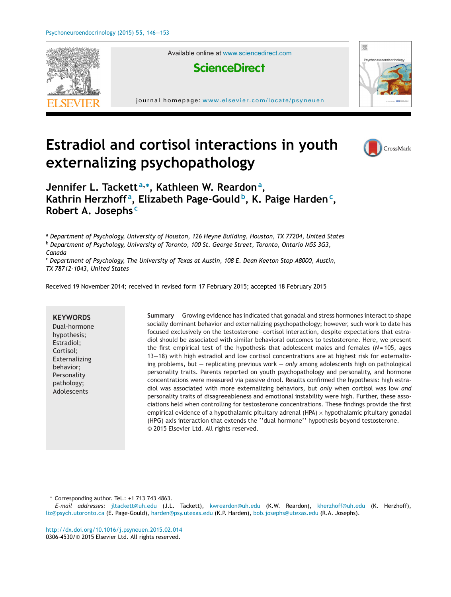

Available online at [www.sciencedirect.com](http://www.sciencedirect.com/science/journal/03064530)





journal homepage: <www.elsevier.com/locate/psyneuen>

# **Estradiol and cortisol interactions in youth externalizing psychopathology**



# **Jennifer L. Tackett <sup>a</sup>,<sup>∗</sup> , Kathleen W. Reardon<sup>a</sup> , Kathrin Herzhoff <sup>a</sup> , Elizabeth Page-Gould b, K. Paige Harden<sup>c</sup> , Robert A. Josephs <sup>c</sup>**

<sup>a</sup> *Department of Psychology, University of Houston, 126 Heyne Building, Houston, TX 77204, United States*

<sup>b</sup> *Department of Psychology, University of Toronto, 100 St. George Street, Toronto, Ontario M5S 3G3,*

*Canada*

<sup>c</sup> *Department of Psychology, The University of Texas at Austin, 108 E. Dean Keeton Stop A8000, Austin, TX 78712-1043, United States*

Received 19 November 2014; received in revised form 17 February 2015; accepted 18 February 2015

**KEYWORDS** Dual-hormone hypothesis; Estradiol; Cortisol; Externalizing behavior; Personality pathology; Adolescents

**Summary** Growing evidence has indicated that gonadal and stress hormones interact to shape socially dominant behavior and externalizing psychopathology; however, such work to date has focused exclusively on the testosterone—cortisol interaction, despite expectations that estradiol should be associated with similar behavioral outcomes to testosterone. Here, we present the first empirical test of the hypothesis that adolescent males and females (*N* = 105, ages 13—18) with high estradiol and low cortisol concentrations are at highest risk for externalizing problems, but — replicating previous work — *only* among adolescents high on pathological personality traits. Parents reported on youth psychopathology and personality, and hormone concentrations were measured via passive drool. Results confirmed the hypothesis: high estradiol was associated with more externalizing behaviors, but *only* when cortisol was low *and* personality traits of disagreeableness and emotional instability were high. Further, these associations held when controlling for testosterone concentrations. These findings provide the first empirical evidence of a hypothalamic pituitary adrenal (HPA)  $\times$  hypothalamic pituitary gonadal (HPG) axis interaction that extends the ''dual hormone'' hypothesis beyond testosterone. © 2015 Elsevier Ltd. All rights reserved.

∗ Corresponding author. Tel.: +1 713 743 4863.

*E-mail addresses:* [jltackett@uh.edu](mailto:jltackett@uh.edu) (J.L. Tackett), [kwreardon@uh.edu](mailto:kwreardon@uh.edu) (K.W. Reardon), [kherzhoff@uh.edu](mailto:kherzhoff@uh.edu) (K. Herzhoff), [liz@psych.utoronto.ca](mailto:liz@psych.utoronto.ca) (E. Page-Gould), [harden@psy.utexas.edu](mailto:harden@psy.utexas.edu) (K.P. Harden), [bob.josephs@utexas.edu](mailto:bob.josephs@utexas.edu) (R.A. Josephs).

[http://dx.doi.org/10.1016/j.psyneuen.2015.02.014](dx.doi.org/10.1016/j.psyneuen.2015.02.014) 0306-4530/© 2015 Elsevier Ltd. All rights reserved.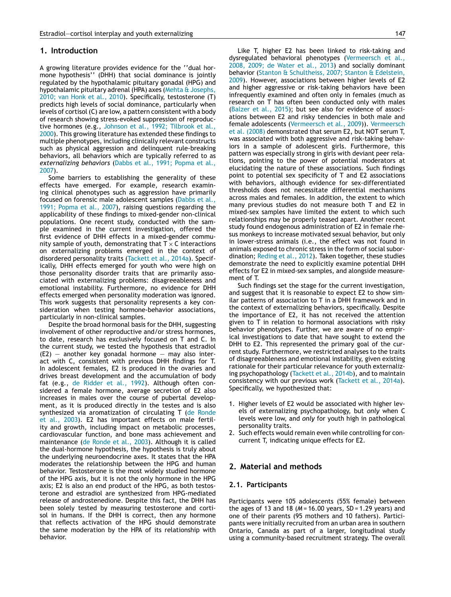## **1. Introduction**

A growing literature provides evidence for the ''dual hormone hypothesis'' (DHH) that social dominance is jointly regulated by the hypothalamic pituitary gonadal (HPG) and hypothalamic pituitary adrenal (HPA) axes ([Mehta](#page-6-0) [&](#page-6-0) [Josephs,](#page-6-0) [2010;](#page-6-0) [van](#page-6-0) [Honk](#page-6-0) et [al.,](#page-6-0) [2010\).](#page-6-0) Specifically, testosterone (T) predicts high levels of social dominance, particularly when levels of cortisol (C) are low, a pattern consistent with a body of research showing stress-evoked suppression of reproductive hormones (e.g., [Johnson](#page-6-0) et [al.,](#page-6-0) [1992;](#page-6-0) [Tilbrook](#page-6-0) et [al.,](#page-6-0) [2000\).](#page-6-0) This growing literature has extended these findings to multiple phenotypes, including clinically relevant constructs such as physical aggression and delinquent rule-breaking behaviors, all behaviors which are typically referred to as *externalizing behaviors* [\(Dabbs](#page-6-0) et [al.,](#page-6-0) [1991;](#page-6-0) [Popma](#page-6-0) et [al.,](#page-6-0) [2007\).](#page-6-0)

Some barriers to establishing the generality of these effects have emerged. For example, research examining clinical phenotypes such as aggression have primarily focused on forensic male adolescent samples ([Dabbs](#page-6-0) et [al.,](#page-6-0) [1991;](#page-6-0) [Popma](#page-6-0) et [al.,](#page-6-0) [2007\),](#page-6-0) raising questions regarding the applicability of these findings to mixed-gender non-clinical populations. One recent study, conducted with the sample examined in the current investigation, offered the first evidence of DHH effects in a mixed-gender community sample of youth, demonstrating that  $T \times C$  interactions on externalizing problems emerged in the context of disordered personality traits ([Tackett](#page-7-0) et [al.,](#page-7-0) [2014a\).](#page-7-0) Specifically, DHH effects emerged for youth who were high on those personality disorder traits that are primarily associated with externalizing problems: disagreeableness and emotional instability. Furthermore, no evidence for DHH effects emerged when personality moderation was ignored. This work suggests that personality represents a key consideration when testing hormone-behavior associations, particularly in non-clinical samples.

Despite the broad hormonal basis for the DHH, suggesting involvement of other reproductive and/or stress hormones, to date, research has exclusively focused on T and C. In the current study, we tested the hypothesis that estradiol  $(E2)$  – another key gonadal hormone – may also interact with C, consistent with previous DHH findings for T. In adolescent females, E2 is produced in the ovaries and drives breast development and the accumulation of body fat (e.g., [de](#page-6-0) [Ridder](#page-6-0) et [al.,](#page-6-0) [1992\).](#page-6-0) Although often considered a female hormone, average secretion of E2 also increases in males over the course of pubertal development, as it is produced directly in the testes and is also synthesized via aromatization of circulating T ([de](#page-6-0) [Ronde](#page-6-0) et [al.,](#page-6-0) [2003\).](#page-6-0) E2 has important effects on male fertility and growth, including impact on metabolic processes, cardiovascular function, and bone mass achievement and maintenance ([de](#page-6-0) [Ronde](#page-6-0) et [al.,](#page-6-0) [2003\).](#page-6-0) Although it is called the dual-hormone hypothesis, the hypothesis is truly about the underlying neuroendocrine axes. It states that the HPA moderates the relationship between the HPG and human behavior. Testosterone is the most widely studied hormone of the HPG axis, but it is not the only hormone in the HPG axis; E2 is also an end product of the HPG, as both testosterone and estradiol are synthesized from HPG-mediated release of androstenedione. Despite this fact, the DHH has been solely tested by measuring testosterone and cortisol in humans. If the DHH is correct, then any hormone that reflects activation of the HPG should demonstrate the same moderation by the HPA of its relationship with behavior.

Like T, higher E2 has been linked to risk-taking and dysregulated behavioral phenotypes ([Vermeersch](#page-7-0) et [al.,](#page-7-0) [2008,](#page-7-0) [2009;](#page-7-0) [de](#page-7-0) [Water](#page-7-0) et [al.,](#page-7-0) [2013\)](#page-7-0) and socially dominant behavior ([Stanton](#page-7-0) [&](#page-7-0) [Schultheiss,](#page-7-0) [2007;](#page-7-0) [Stanton](#page-7-0) [&](#page-7-0) [Edelstein,](#page-7-0) [2009\).](#page-7-0) However, associations between higher levels of E2 and higher aggressive or risk-taking behaviors have been infrequently examined and often only in females (much as research on T has often been conducted only with males ([Balzer](#page-6-0) et [al.,](#page-6-0) [2015\);](#page-6-0) but see also for evidence of associations between E2 and risky tendencies in both male and female adolescents [\(Vermeersch](#page-7-0) et [al.,](#page-7-0) [2009\)\)](#page-7-0). [Vermeersch](#page-7-0) et [al.](#page-7-0) [\(2008\)](#page-7-0) demonstrated that serum E2, but NOT serum T, was associated with both aggressive and risk-taking behaviors in a sample of adolescent girls. Furthermore, this pattern was especially strong in girls with deviant peer relations, pointing to the power of potential moderators at elucidating the nature of these associations. Such findings point to potential sex specificity of T and E2 associations with behaviors, although evidence for sex-differentiated thresholds does not necessitate differential mechanisms across males and females. In addition, the extent to which many previous studies do not measure both T and E2 in mixed-sex samples have limited the extent to which such relationships may be properly teased apart. Another recent study found endogenous administration of E2 in female rhesus monkeys to increase motivated sexual behavior, but only in lower-stress animals (i.e., the effect was not found in animals exposed to chronic stress in the form of social subordination; [Reding](#page-7-0) et [al.,](#page-7-0) [2012\).](#page-7-0) Taken together, these studies demonstrate the need to explicitly examine potential DHH effects for E2 in mixed-sex samples, and alongside measurement of T.

Such findings set the stage for the current investigation, and suggest that it is reasonable to expect E2 to show similar patterns of association to T in a DHH framework and in the context of externalizing behaviors, specifically. Despite the importance of E2, it has not received the attention given to T in relation to hormonal associations with risky behavior phenotypes. Further, we are aware of no empirical investigations to date that have sought to extend the DHH to E2. This represented the primary goal of the current study. Furthermore, we restricted analyses to the traits of disagreeableness and emotional instability, given existing rationale for their particular relevance for youth externalizing psychopathology [\(Tackett](#page-7-0) et [al.,](#page-7-0) [2014b\),](#page-7-0) and to maintain consistency with our previous work ([Tackett](#page-7-0) et [al.,](#page-7-0) [2014a\).](#page-7-0) Specifically, we hypothesized that:

- 1. Higher levels of E2 would be associated with higher levels of externalizing psychopathology, but *only* when C levels were low, and *only* for youth high in pathological personality traits.
- 2. Such effects would remain even while controlling for concurrent T, indicating unique effects for E2.

# **2. Material and methods**

#### **2.1. Participants**

Participants were 105 adolescents (55% female) between the ages of 13 and 18 (*M* = 16.00 years, SD = 1.29 years) and one of their parents (95 mothers and 10 fathers). Participants were initially recruited from an urban area in southern Ontario, Canada as part of a larger, longitudinal study using a community-based recruitment strategy. The overall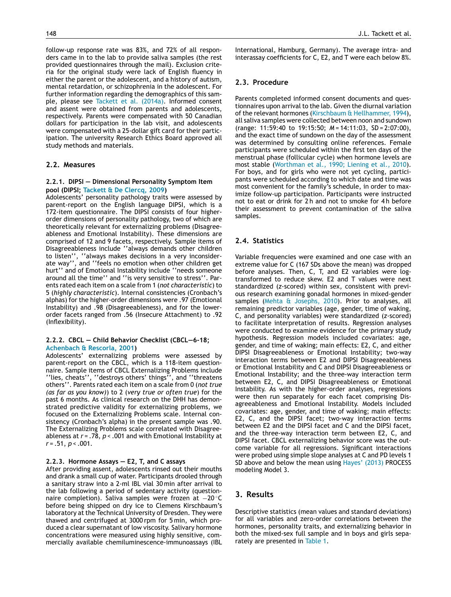follow-up response rate was 83%, and 72% of all responders came in to the lab to provide saliva samples (the rest provided questionnaires through the mail). Exclusion criteria for the original study were lack of English fluency in either the parent or the adolescent, and a history of autism, mental retardation, or schizophrenia in the adolescent. For further information regarding the demographics of this sample, please see [Tackett](#page-7-0) et [al.](#page-7-0) [\(2014a\).](#page-7-0) Informed consent and assent were obtained from parents and adolescents, respectively. Parents were compensated with 50 Canadian dollars for participation in the lab visit, and adolescents were compensated with a 25-dollar gift card for their participation. The university Research Ethics Board approved all study methods and materials.

#### **2.2. Measures**

#### **2.2.1. DIPSI — Dimensional Personality Symptom Item pool (DIPSI; [Tackett](#page-7-0) [&](#page-7-0) [De](#page-7-0) [Clercq,](#page-7-0) [2009\)](#page-7-0)**

Adolescents' personality pathology traits were assessed by parent-report on the English language DIPSI, which is a 172-item questionnaire. The DIPSI consists of four higherorder dimensions of personality pathology, two of which are theoretically relevant for externalizing problems (Disagreeableness and Emotional Instability). These dimensions are comprised of 12 and 9 facets, respectively. Sample items of Disagreeableness include ''always demands other children to listen'', "always makes decisions in a very inconsiderate way", and "feels no emotion when other children get , and "feels no emotion when other children get hurt'' and of Emotional Instability include ''needs someone around all the time'' and ''is very sensitive to stress''. Parents rated each item on a scale from 1 (*not characteristic*) to 5 (*highly characteristic*). Internal consistencies (Cronbach's alphas) for the higher-order dimensions were .97 (Emotional Instability) and .98 (Disagreeableness), and for the lowerorder facets ranged from .56 (Insecure Attachment) to .92 (Inflexibility).

#### **2.2.2. CBCL — Child Behavior Checklist (CBCL—6-18; [Achenbach](#page-6-0) [&](#page-6-0) [Rescorla,](#page-6-0) [2001\)](#page-6-0)**

Adolescents' externalizing problems were assessed by parent-report on the CBCL, which is a 118-item questionnaire. Sample items of CBCL Externalizing Problems include ''lies, cheats'', ''destroys others' things'', and ''threatens others''. Parents rated each item on a scale from 0 (*not true (as far as you know)*) to 2 (*very true or often true*) for the past 6 months. As clinical research on the DHH has demonstrated predictive validity for externalizing problems, we focused on the Externalizing Problems scale. Internal consistency (Cronbach's alpha) in the present sample was .90. The Externalizing Problems scale correlated with Disagreeableness at *r* = .78, *p* < .001 and with Emotional Instability at *r* = .51, *p* < .001.

#### **2.2.3. Hormone Assays — E2, T, and C assays**

After providing assent, adolescents rinsed out their mouths and drank a small cup of water. Participants drooled through a sanitary straw into a 2-ml IBL vial 30 min after arrival to the lab following a period of sedentary activity (questionnaire completion). Saliva samples were frozen at −20 ◦C before being shipped on dry ice to Clemens Kirschbaum's laboratory at the Technical University of Dresden. They were thawed and centrifuged at 3000 rpm for 5 min, which produced a clear supernatant of low viscosity. Salivary hormone concentrations were measured using highly sensitive, commercially available chemiluminescence-immunoassays (IBL International, Hamburg, Germany). The average intra- and interassay coefficients for C, E2, and T were each below 8%.

#### **2.3. Procedure**

Parents completed informed consent documents and questionnaires upon arrival to the lab. Given the diurnal variation of the relevant hormones ([Kirschbaum](#page-6-0) [&](#page-6-0) [Hellhammer,](#page-6-0) [1994\),](#page-6-0) all saliva samples were collected between noon and sundown (range: 11:59:40 to 19:15:50; *M* = 14:11:03, SD = 2:07:00), and the exact time of sundown on the day of the assessment was determined by consulting online references. Female participants were scheduled within the first ten days of the menstrual phase (follicular cycle) when hormone levels are most stable ([Worthman](#page-7-0) et [al.,](#page-7-0) [1990;](#page-7-0) [Liening](#page-7-0) et [al.,](#page-7-0) [2010\).](#page-7-0) For boys, and for girls who were not yet cycling, participants were scheduled according to which date and time was most convenient for the family's schedule, in order to maximize follow-up participation. Participants were instructed not to eat or drink for 2 h and not to smoke for 4 h before their assessment to prevent contamination of the saliva samples.

## **2.4. Statistics**

Variable frequencies were examined and one case with an extreme value for C (167 SDs above the mean) was dropped before analyses. Then, C, T, and E2 variables were logtransformed to reduce skew. E2 and T values were next standardized (*z*-scored) within sex, consistent with previous research examining gonadal hormones in mixed-gender samples [\(Mehta](#page-6-0) [&](#page-6-0) [Josephs,](#page-6-0) [2010\).](#page-6-0) Prior to analyses, all remaining predictor variables (age, gender, time of waking, C, and personality variables) were standardized (*z*-scored) to facilitate interpretation of results. Regression analyses were conducted to examine evidence for the primary study hypothesis. Regression models included covariates: age, gender, and time of waking; main effects: E2, C, and either DIPSI Disagreeableness or Emotional Instability; two-way interaction terms between E2 and DIPSI Disagreeableness or Emotional Instability and C and DIPSI Disagreeableness or Emotional Instability; and the three-way interaction term between E2, C, and DIPSI Disagreeableness or Emotional Instability. As with the higher-order analyses, regressions were then run separately for each facet comprising Disagreeableness and Emotional Instability. Models included covariates: age, gender, and time of waking; main effects: E2, C, and the DIPSI facet; two-way interaction terms between E2 and the DIPSI facet and C and the DIPSI facet, and the three-way interaction term between E2, C, and DIPSI facet. CBCL externalizing behavior score was the outcome variable for all regressions. Significant interactions were probed using simple slope analyses at C and PD levels 1 SD above and below the mean using [Hayes'](#page-6-0) [\(2013\)](#page-6-0) PROCESS modeling Model 3.

# **3. Results**

Descriptive statistics (mean values and standard deviations) for all variables and zero-order correlations between the hormones, personality traits, and externalizing behavior in both the mixed-sex full sample and in boys and girls separately are presented in [Table](#page-3-0) 1.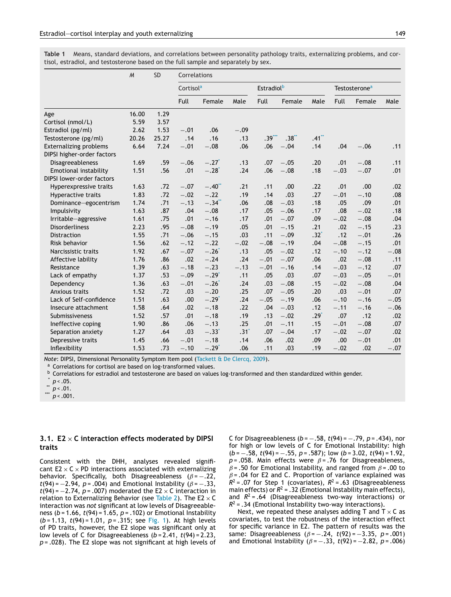|                                                             | $\mathcal M$ | <b>SD</b> | Correlations          |                     |                  |                               |         |         |                           |        |        |
|-------------------------------------------------------------|--------------|-----------|-----------------------|---------------------|------------------|-------------------------------|---------|---------|---------------------------|--------|--------|
|                                                             |              |           | Cortisol <sup>a</sup> |                     |                  | <b>Estradiol</b> <sup>b</sup> |         |         | Testosterone <sup>a</sup> |        |        |
|                                                             |              |           | <b>Full</b>           | Female              | Male             | Full                          | Female  | Male    | <b>Full</b>               | Female | Male   |
| Age                                                         | 16.00        | 1.29      |                       |                     |                  |                               |         |         |                           |        |        |
| Cortisol (nmol/L)                                           | 5.59         | 3.57      |                       |                     |                  |                               |         |         |                           |        |        |
| Estradiol (pg/ml)                                           | 2.62         | 1.53      | $-.01$                | .06                 | $-.09$           |                               |         |         |                           |        |        |
| Testosterone (pg/ml)                                        | 20.26        | 25.27     | .14                   | .16                 | .13              | $.39***$                      | $.38**$ | $.41**$ |                           |        |        |
| <b>Externalizing problems</b><br>DIPSI higher-order factors | 6.64         | 7.24      | $-.01$                | $-.08$              | .06              | .06                           | $-.04$  | .14     | .04                       | $-.06$ | .11    |
| Disagreeableness                                            | 1.69         | .59       | $-.06$                | $-.27$ <sup>*</sup> | .13              | .07                           | $-.05$  | .20     | .01                       | $-.08$ | .11    |
| Emotional instability                                       | 1.51         | .56       | .01                   | $-.28$ <sup>*</sup> | .24              | .06                           | $-.08$  | .18     | $-.03$                    | $-.07$ | .01    |
| DIPSI lower-order factors                                   |              |           |                       |                     |                  |                               |         |         |                           |        |        |
| Hyperexpressive traits                                      | 1.63         | .72       | $-.07$                | $-.40$              | .21              | .11                           | .00     | .22     | .01                       | .00    | .02    |
| Hyperactive traits                                          | 1.83         | .72       | $-.02$                | $-.22$              | .19              | .14                           | .03     | .27     | $-.01$                    | $-.10$ | .08    |
| Dominance-egocentrism                                       | 1.74         | .71       | $-.13$                | $-.34$ **           | .06              | .08                           | $-.03$  | .18     | .05                       | .09    | .01    |
| Impulsivity                                                 | 1.63         | .87       | .04                   | $-.08$              | .17              | .05                           | $-.06$  | .17     | .08                       | $-.02$ | .18    |
| Irritable-aggressive                                        | 1.61         | .75       | .01                   | $-.16$              | .17              | .01                           | $-.07$  | .09     | $-.02$                    | $-.08$ | .04    |
| <b>Disorderliness</b>                                       | 2.23         | .95       | $-.08$                | $-.19$              | .05              | .01                           | $-.15$  | .21     | .02                       | $-.15$ | .23    |
| <b>Distraction</b>                                          | 1.55         | .71       | $-.06$                | $-.15$              | .03              | .11                           | $-.09$  | $.32*$  | .12                       | $-.01$ | .26    |
| Risk behavior                                               | 1.56         | .62       | $-.12$                | $-.22$              | $-.02$           | $-.08$                        | $-.19$  | .04     | $-.08$                    | $-.15$ | .01    |
| Narcissistic traits                                         | 1.92         | .67       | $-.07$                | $-.26$              | .13              | .05                           | $-.02$  | .12     | $-.10$                    | $-.12$ | $-.08$ |
| Affective lability                                          | 1.76         | .86       | .02                   | $-.24$              | .24              | $-.01$                        | $-.07$  | .06     | .02                       | $-.08$ | .11    |
| Resistance                                                  | 1.39         | .63       | $-.18$                | $-.23$              | $-.13$           | $-.01$                        | $-.16$  | .14     | $-.03$                    | $-.12$ | .07    |
| Lack of empathy                                             | 1.37         | .53       | $-.09$                | $-.29'$             | .11              | .05                           | .03     | .07     | $-.03$                    | $-.05$ | $-.01$ |
| Dependency                                                  | 1.36         | .63       | $-.01$                | $-.26$              | .24              | .03                           | $-.08$  | .15     | $-.02$                    | $-.08$ | .04    |
| Anxious traits                                              | 1.52         | .72       | .03                   | $-.20$              | .25              | .07                           | $-.05$  | .20     | .03                       | $-.01$ | .07    |
| Lack of Self-confidence                                     | 1.51         | .63       | .00                   | $-.29*$             | .24              | $-.05$                        | $-.19$  | .06     | $-.10$                    | $-.16$ | $-.05$ |
| Insecure attachment                                         | 1.58         | .64       | .02                   | $-.18$              | .22              | .04                           | $-.03$  | .12     | $-.11$                    | $-.16$ | $-.06$ |
| Submissiveness                                              | 1.52         | .57       | .01                   | $-.18$              | .19              | .13                           | $-.02$  | $.29*$  | .07                       | .12    | .02    |
| Ineffective coping                                          | 1.90         | .86       | .06                   | $-.13$              | .25              | .01                           | $-.11$  | .15     | $-.01$                    | $-.08$ | .07    |
| Separation anxiety                                          | 1.27         | .64       | .03                   | $-.33'$             | .31 <sup>°</sup> | .07                           | $-.04$  | .17     | $-.02$                    | $-.07$ | .02    |
| Depressive traits                                           | 1.45         | .66       | $-.01$                | $-.18$              | .14              | .06                           | .02     | .09     | .00                       | $-.01$ | .01    |
| Inflexibility                                               | 1.53         | .73       | $-.10$                | $-.29'$             | .06              | .11                           | .03     | .19     | $-.02$                    | .02    | $-.07$ |

<span id="page-3-0"></span>**Table 1** Means, standard deviations, and correlations between personality pathology traits, externalizing problems, and cortisol, estradiol, and testosterone based on the full sample and separately by sex.

*Note*: DIPSI, Dimensional Personality Symptom Item pool ([Tackett](#page-7-0) [&](#page-7-0) [De](#page-7-0) [Clercq,](#page-7-0) [2009\).](#page-7-0)

a Correlations for cortisol are based on log-transformed values.

b Correlations for estradiol and testosterone are based on values log-transformed and then standardized within gender.

 $p < .001$ .

#### **3.1. E2** × **C interaction effects moderated by DIPSI traits**

Consistent with the DHH, analyses revealed significant  $E2 \times C \times PD$  interactions associated with externalizing behavior. Specifically, both Disagreeableness ( $\beta$  = -.22, *t*(94) =  $-2.94$ , *p* = .004) and Emotional Instability ( $\beta$  =  $-0.33$ ,  $t(94) = -2.74$ ,  $p = .007$ ) moderated the E2  $\times$  C interaction in relation to Externalizing Behavior (see [Table](#page-4-0) 2). The E2  $\times$  C interaction was *not* significant at low levels of Disagreeableness (*b* = 1.66, *t*(94) = 1.65, *p* = .102) or Emotional Instability (*b* = 1.13, *t*(94) = 1.01, *p* = .315; see [Fig.](#page-4-0) 1). At high levels of PD traits, however, the E2 slope was significant only at low levels of C for Disagreeableness (*b* = 2.41, *t*(94) = 2.23, *p* = .028). The E2 slope was not significant at high levels of C for Disagreeableness (*b* = −.58, *t*(94) = −.79, *p* = .434), nor for high or low levels of C for Emotional Instability: high (*b* = −.58, *t*(94) = −.55, *p* = .587); low (*b* = 3.02, *t*(94) = 1.92,  $p = .058$ . Main effects were  $\beta = .76$  for Disagreeableness,  $\beta$  = .50 for Emotional Instability, and ranged from  $\beta$  = .00 to  $\beta$  = .04 for E2 and C. Proportion of variance explained was  $R^2$  = .07 for Step 1 (covariates),  $R^2$  = .63 (Disagreeableness main effects) or  $R^2$  = .32 (Emotional Instability main effects), and  $R^2$  = .64 (Disagreeableness two-way interactions) or  $R^2$  = .34 (Emotional Instability two-way interactions).

Next, we repeated these analyses adding T and  $T \times C$  as covariates, to test the robustness of the interaction effect for specific variance in E2. The pattern of results was the same: Disagreeableness  $(\beta = -.24, t(92) = -3.35, p = .001)$ and Emotional Instability  $(\beta = -.33, t(92) = -2.82, p = .006)$ 

 $p < .05$ .

 $\sum_{***}^{**} p < .01$ .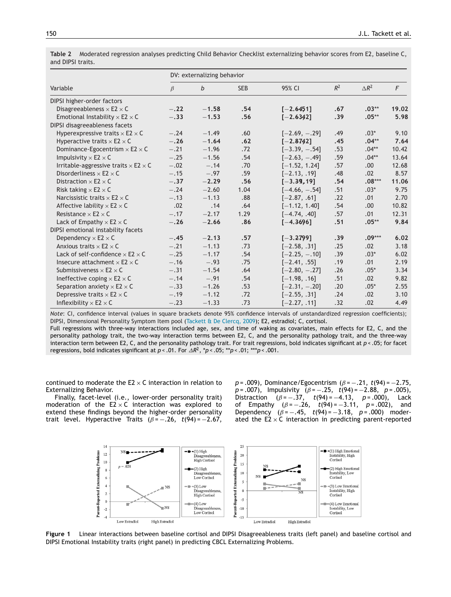|                                                    | DV: externalizing behavior |             |            |                 |       |                 |       |  |  |  |
|----------------------------------------------------|----------------------------|-------------|------------|-----------------|-------|-----------------|-------|--|--|--|
| Variable                                           | $\beta$                    | $\mathbf b$ | <b>SEB</b> | 95% CI          | $R^2$ | $\triangle R^2$ | F     |  |  |  |
| DIPSI higher-order factors                         |                            |             |            |                 |       |                 |       |  |  |  |
| Disagreeableness $\times$ E2 $\times$ C            | $-.22$                     | $-1.58$     | .54        | $[-2.6451]$     | .67   | $.03**$         | 19.02 |  |  |  |
| Emotional Instability $\times$ E2 $\times$ C       | $-.33$                     | $-1.53$     | .56        | $[-2.6342]$     | .39   | $.05**$         | 5.98  |  |  |  |
| DIPSI disagreeableness facets                      |                            |             |            |                 |       |                 |       |  |  |  |
| Hyperexpressive traits $\times$ E2 $\times$ C      | $-.24$                     | $-1.49$     | .60        | $[-2.69, -.29]$ | .49   | $.03*$          | 9.10  |  |  |  |
| Hyperactive traits $\times$ E2 $\times$ C          | $-.26$                     | $-1.64$     | .62        | $[-2.8742]$     | .45   | $.04**$         | 7.64  |  |  |  |
| Dominance-Egocentrism $\times$ E2 $\times$ C       | $-.21$                     | $-1.96$     | .72        | $[-3.39, -.54]$ | .53   | $.04**$         | 10.42 |  |  |  |
| Impulsivity $\times$ E2 $\times$ C                 | $-.25$                     | $-1.56$     | .54        | $[-2.63, -.49]$ | .59   | $.04**$         | 13.64 |  |  |  |
| Irritable-aggressive traits $\times$ E2 $\times$ C | $-.02$                     | $-.14$      | .70        | $[-1.52, 1.24]$ | .57   | .00             | 12.68 |  |  |  |
| Disorderliness $\times$ E2 $\times$ C              | $-.15$                     | $-.97$      | .59        | $[-2.13, .19]$  | .48   | .02             | 8.57  |  |  |  |
| Distraction $\times$ E2 $\times$ C                 | $-.37$                     | $-2.29$     | .56        | $[-3.39, 19]$   | .54   | $.08***$        | 11.06 |  |  |  |
| Risk taking $\times$ E2 $\times$ C                 | $-.24$                     | $-2.60$     | 1.04       | $[-4.66, -.54]$ | .51   | $.03*$          | 9.75  |  |  |  |
| Narcissistic traits $\times$ E2 $\times$ C         | $-.13$                     | $-1.13$     | .88        | $[-2.87, .61]$  | .22   | .01             | 2.70  |  |  |  |
| Affective lability $\times$ E2 $\times$ C          | .02                        | .14         | .64        | $[-1.12, 1.40]$ | .54   | .00.            | 10.82 |  |  |  |
| Resistance $\times$ E2 $\times$ C                  | $-.17$                     | $-2.17$     | 1.29       | $[-4.74, .40]$  | .57   | .01             | 12.31 |  |  |  |
| Lack of Empathy $\times$ E2 $\times$ C             | $-.26$                     | $-2.66$     | .86        | $[-4.3696]$     | .51   | $.05**$         | 9.84  |  |  |  |
| DIPSI emotional instability facets                 |                            |             |            |                 |       |                 |       |  |  |  |
| Dependency $\times$ E2 $\times$ C                  | $-.45$                     | $-2.13$     | .57        | $[-3.2799]$     | .39   | $.09***$        | 6.02  |  |  |  |
| Anxious traits $\times$ E2 $\times$ C              | $-.21$                     | $-1.13$     | .73        | $[-2.58, .31]$  | .25   | .02             | 3.18  |  |  |  |
| Lack of self-confidence $\times$ E2 $\times$ C     | $-.25$                     | $-1.17$     | .54        | $[-2.25, -.10]$ | .39   | $.03*$          | 6.02  |  |  |  |
| Insecure attachment $\times$ E2 $\times$ C         | $-.16$                     | $-.93$      | .75        | $[-2.41, .55]$  | .19   | .01             | 2.19  |  |  |  |
| Submissiveness $\times$ E2 $\times$ C              | $-.31$                     | $-1.54$     | .64        | $[-2.80, -.27]$ | .26   | $.05*$          | 3.34  |  |  |  |
| Ineffective coping $\times$ E2 $\times$ C          | $-.14$                     | $-.91$      | .54        | $[-1.98, .16]$  | .51   | .02             | 9.82  |  |  |  |
| Separation anxiety $\times$ E2 $\times$ C          | $-.33$                     | $-1.26$     | .53        | $[-2.31, -.20]$ | .20   | $.05*$          | 2.55  |  |  |  |
| Depressive traits $\times$ E2 $\times$ C           | $-.19$                     | $-1.12$     | .72        | $[-2.55, .31]$  | .24   | .02             | 3.10  |  |  |  |
| Inflexibility $\times$ E2 $\times$ C               | $-.23$                     | $-1.33$     | .73        | $[-2.27, .11]$  | .32   | .02             | 4.49  |  |  |  |

<span id="page-4-0"></span>**Table 2** Moderated regression analyses predicting Child Behavior Checklist externalizing behavior scores from E2, baseline C, and DIPSI traits.

*Note*: CI, confidence interval (values in square brackets denote 95% confidence intervals of unstandardized regression coefficients); DIPSI, Dimensional Personality Symptom Item pool ([Tackett](#page-7-0) [&](#page-7-0) [De](#page-7-0) [Clercq,](#page-7-0) [2009\);](#page-7-0) E2, estradiol; C, cortisol.

Full regressions with three-way interactions included age, sex, and time of waking as covariates, main effects for E2, C, and the personality pathology trait, the two-way interaction terms between E2, C, and the personality pathology trait, and the three-way interaction term between E2, C, and the personality pathology trait. For trait regressions, bold indicates significant at *p* < .05; for facet regressions, bold indicates significant at  $p < .01$ . For  $\triangle R^2$ ,  $p < .05$ ; \*\* $p < .01$ ; \*\*\* $p < .001$ .

continued to moderate the  $E2 \times C$  interaction in relation to Externalizing Behavior.

Finally, facet-level (i.e., lower-order personality trait) moderation of the  $E2 \times C$  interaction was explored to extend these findings beyond the higher-order personality trait level. Hyperactive Traits  $(\beta = -.26, t(94) = -2.67,$ 

*p* = .009), Dominance/Egocentrism ( $\beta$  = −.21, *t*(94) = −2.75, *p* = .007), Impulsivity ( $\beta$  = −.25, *t*(94) = −2.88, *p* = .005), Distraction  $(\beta = -.37, t(94) = -4.13, p = .000),$  Lack of Empathy  $(\beta = -.26, t(94) = -.3.11, p = .002)$ , and Dependency  $(\beta = -.45, t(94) = -.3.18, p = .000)$  moderated the  $E2 \times C$  interaction in predicting parent-reported



**Figure 1** Linear interactions between baseline cortisol and DIPSI Disagreeableness traits (left panel) and baseline cortisol and DIPSI Emotional Instability traits (right panel) in predicting CBCL Externalizing Problems.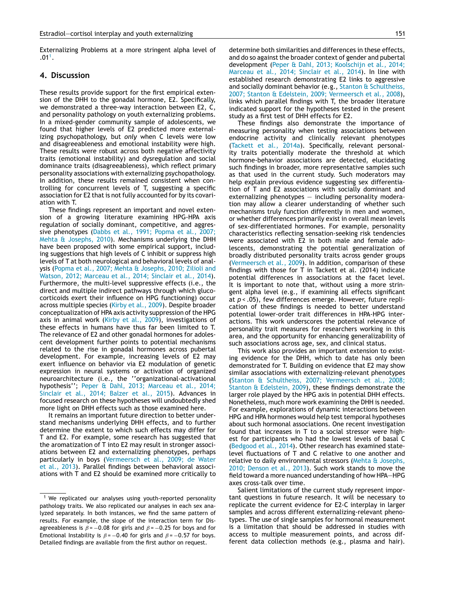Externalizing Problems at a more stringent alpha level of  $.01<sup>1</sup>$ .

#### **4. Discussion**

These results provide support for the first empirical extension of the DHH to the gonadal hormone, E2. Specifically, we demonstrated a three-way interaction between E2, C, and personality pathology on youth externalizing problems. In a mixed-gender community sample of adolescents, we found that higher levels of E2 predicted more externalizing psychopathology, but *only* when C levels were low and disagreeableness and emotional instability were high. These results were robust across both negative affectivity traits (emotional instability) and dysregulation and social dominance traits (disagreeableness), which reflect primary personality associations with externalizing psychopathology. In addition, these results remained consistent when controlling for concurrent levels of T, suggesting a specific association for E2 that is not fully accounted for by its covariation with T.

These findings represent an important and novel extension of a growing literature examining HPG-HPA axis regulation of socially dominant, competitive, and aggressive phenotypes ([Dabbs](#page-6-0) et [al.,](#page-6-0) [1991;](#page-6-0) [Popma](#page-6-0) et [al.,](#page-6-0) [2007;](#page-6-0) [Mehta](#page-6-0) [&](#page-6-0) [Josephs,](#page-6-0) [2010\).](#page-6-0) Mechanisms underlying the DHH have been proposed with some empirical support, including suggestions that high levels of C inhibit or suppress high levels of T at both neurological and behavioral levels of analysis ([Popma](#page-7-0) et [al.,](#page-7-0) [2007;](#page-7-0) [Mehta](#page-7-0) [&](#page-7-0) [Josephs,](#page-7-0) [2010;](#page-7-0) [Zilioli](#page-7-0) [and](#page-7-0) [Watson,](#page-7-0) [2012;](#page-7-0) [Marceau](#page-7-0) et [al.,](#page-7-0) [2014;](#page-7-0) [Sinclair](#page-7-0) et [al.,](#page-7-0) [2014\).](#page-7-0) Furthermore, the multi-level suppressive effects (i.e., the direct and multiple indirect pathways through which glucocorticoids exert their influence on HPG functioning) occur across multiple species [\(Kirby](#page-6-0) et [al.,](#page-6-0) [2009\).](#page-6-0) Despite broader conceptualization of HPA axis activity suppression of the HPG axis in animal work ([Kirby](#page-6-0) et [al.,](#page-6-0) [2009\),](#page-6-0) investigations of these effects in humans have thus far been limited to T. The relevance of E2 and other gonadal hormones for adolescent development further points to potential mechanisms related to the rise in gonadal hormones across pubertal development. For example, increasing levels of E2 may exert influence on behavior via E2 modulation of genetic expression in neural systems or activation of organized neuroarchitecture (i.e., the ''organizational-activational hypothesis''; [Peper](#page-6-0) [&](#page-6-0) [Dahl,](#page-6-0) [2013;](#page-6-0) [Marceau](#page-6-0) et [al.,](#page-6-0) [2014;](#page-6-0) [Sinclair](#page-6-0) et [al.,](#page-6-0) [2014;](#page-6-0) [Balzer](#page-6-0) et [al.,](#page-6-0) [2015\).](#page-6-0) Advances in focused research on these hypotheses will undoubtedly shed more light on DHH effects such as those examined here.

It remains an important future direction to better understand mechanisms underlying DHH effects, and to further determine the extent to which such effects may differ for T and E2. For example, some research has suggested that the aromatization of T into E2 may result in stronger associations between E2 and externalizing phenotypes, perhaps particularly in boys [\(Vermeersch](#page-7-0) et [al.,](#page-7-0) [2009;](#page-7-0) [de](#page-7-0) [Water](#page-7-0) et [al.,](#page-7-0) [2013\).](#page-7-0) Parallel findings between behavioral associations with T and E2 should be examined more critically to determine both similarities and differences in these effects, and do so against the broader context of gender and pubertal development [\(Peper](#page-6-0) [&](#page-6-0) [Dahl,](#page-6-0) [2013;](#page-6-0) [Koolschijn](#page-6-0) et [al.,](#page-6-0) [2014;](#page-6-0) [Marceau](#page-6-0) et [al.,](#page-6-0) [2014;](#page-6-0) [Sinclair](#page-6-0) et [al.,](#page-6-0) [2014\).](#page-6-0) In line with established research demonstrating E2 links to aggressive and socially dominant behavior (e.g., [Stanton](#page-7-0) [&](#page-7-0) [Schultheiss,](#page-7-0) [2007;](#page-7-0) [Stanton](#page-7-0) [&](#page-7-0) [Edelstein,](#page-7-0) [2009;](#page-7-0) [Vermeersch](#page-7-0) et [al.,](#page-7-0) [2008\),](#page-7-0) links which parallel findings with T, the broader literature indicated support for the hypotheses tested in the present study as a first test of DHH effects for E2.

These findings also demonstrate the importance of measuring personality when testing associations between endocrine activity and clinically relevant phenotypes ([Tackett](#page-7-0) et [al.,](#page-7-0) [2014a\).](#page-7-0) Specifically, relevant personality traits potentially moderate the threshold at which hormone-behavior associations are detected, elucidating such findings in broader, more representative samples such as that used in the current study. Such moderators may help explain previous evidence suggesting sex differentiation of T and E2 associations with socially dominant and externalizing phenotypes — including personality moderation may allow a clearer understanding of whether such mechanisms truly function differently in men and women, or whether differences primarily exist in overall mean levels of sex-differentiated hormones. For example, personality characteristics reflecting sensation-seeking risk tendencies were associated with E2 in both male and female adolescents, demonstrating the potential generalization of broadly distributed personality traits across gender groups ([Vermeersch](#page-7-0) et [al.,](#page-7-0) [2009\).](#page-7-0) In addition, comparison of these findings with those for T in Tackett et al. (2014) indicate potential differences in associations at the facet level. It is important to note that, without using a more stringent alpha level (e.g., if examining all effects significant at *p* < .05), few differences emerge. However, future replication of these findings is needed to better understand potential lower-order trait differences in HPA-HPG interactions. This work underscores the potential relevance of personality trait measures for researchers working in this area, and the opportunity for enhancing generalizability of such associations across age, sex, and clinical status.

This work also provides an important extension to existing evidence for the DHH, which to date has only been demonstrated for T. Building on evidence that E2 may show similar associations with externalizing-relevant phenotypes ([Stanton](#page-7-0) [&](#page-7-0) [Schultheiss,](#page-7-0) [2007;](#page-7-0) [Vermeersch](#page-7-0) et [al.,](#page-7-0) [2008;](#page-7-0) [Stanton](#page-7-0) [&](#page-7-0) [Edelstein,](#page-7-0) [2009\),](#page-7-0) these findings demonstrate the larger role played by the HPG axis in potential DHH effects. Nonetheless, much more work examining the DHH is needed. For example, explorations of dynamic interactions between HPG and HPA hormones would help test temporal hypotheses about such hormonal associations. One recent investigation found that increases in T to a social stressor were highest for participants who had the lowest levels of basal C ([Bedgood](#page-6-0) et [al.,](#page-6-0) [2014\).](#page-6-0) Other research has examined statelevel fluctuations of T and C relative to one another and relative to daily environmental stressors [\(Mehta](#page-6-0) [&](#page-6-0) [Josephs,](#page-6-0) [2010;](#page-6-0) [Denson](#page-6-0) et [al.,](#page-6-0) [2013\).](#page-6-0) Such work stands to move the field toward a more nuanced understanding of how HPA—HPG axes cross-talk over time.

Salient limitations of the current study represent important questions in future research. It will be necessary to replicate the current evidence for E2-C interplay in larger samples and across different externalizing-relevant phenotypes. The use of single samples for hormonal measurement is a limitation that should be addressed in studies with access to multiple measurement points, and across different data collection methods (e.g., plasma and hair).

<sup>&</sup>lt;sup>1</sup> We replicated our analyses using youth-reported personality pathology traits. We also replicated our analyses in each sex analyzed separately. In both instances, we find the same pattern of results. For example, the slope of the interaction term for Disagreeableness is  $\beta = -0.08$  for girls and  $\beta = -0.25$  for boys and for Emotional Instability is  $\beta = -0.40$  for girls and  $\beta = -0.57$  for boys. Detailed findings are available from the first author on request.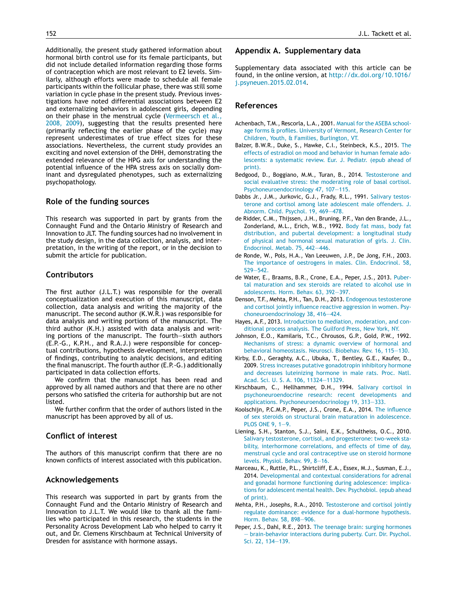<span id="page-6-0"></span>Additionally, the present study gathered information about hormonal birth control use for its female participants, but did not include detailed information regarding those forms of contraception which are most relevant to E2 levels. Similarly, although efforts were made to schedule all female participants within the follicular phase, there was still some variation in cycle phase in the present study. Previous investigations have noted differential associations between E2 and externalizing behaviors in adolescent girls, depending on their phase in the menstrual cycle ([Vermeersch](#page-7-0) et [al.,](#page-7-0) [2008,](#page-7-0) [2009\),](#page-7-0) suggesting that the results presented here (primarily reflecting the earlier phase of the cycle) may represent underestimates of true effect sizes for these associations. Nevertheless, the current study provides an exciting and novel extension of the DHH, demonstrating the extended relevance of the HPG axis for understanding the potential influence of the HPA stress axis on socially dominant and dysregulated phenotypes, such as externalizing psychopathology.

# **Role of the funding sources**

This research was supported in part by grants from the Connaught Fund and the Ontario Ministry of Research and Innovation to JLT. The funding sources had no involvement in the study design, in the data collection, analysis, and interpretation, in the writing of the report, or in the decision to submit the article for publication.

## **Contributors**

The first author (J.L.T.) was responsible for the overall conceptualization and execution of this manuscript, data collection, data analysis and writing the majority of the manuscript. The second author (K.W.R.) was responsible for data analysis and writing portions of the manuscript. The third author (K.H.) assisted with data analysis and writing portions of the manuscript. The fourth—sixth authors (E.P.-G., K.P.H., and R.A.J.) were responsible for conceptual contributions, hypothesis development, interpretation of findings, contributing to analytic decisions, and editing the final manuscript. The fourth author (E.P.-G.) additionally participated in data collection efforts.

We confirm that the manuscript has been read and approved by all named authors and that there are no other persons who satisfied the criteria for authorship but are not listed.

We further confirm that the order of authors listed in the manuscript has been approved by all of us.

## **Conflict of interest**

The authors of this manuscript confirm that there are no known conflicts of interest associated with this publication.

# **Acknowledgements**

This research was supported in part by grants from the Connaught Fund and the Ontario Ministry of Research and Innovation to J.L.T. We would like to thank all the families who participated in this research, the students in the Personality Across Development Lab who helped to carry it out, and Dr. Clemens Kirschbaum at Technical University of Dresden for assistance with hormone assays.

#### **Appendix A. Supplementary data**

Supplementary data associated with this article can be found, in the online version, at [http://dx.doi.org/10.1016/](http://dx.doi.org/10.1016/j.psyneuen.2015.02.014) [j.psyneuen.2015.02.014](http://dx.doi.org/10.1016/j.psyneuen.2015.02.014).

# **References**

- Achenbach, T.M., Rescorla, L.A., 2001. [Manual](http://refhub.elsevier.com/S0306-4530(15)00064-5/sbref0005) [for](http://refhub.elsevier.com/S0306-4530(15)00064-5/sbref0005) [the](http://refhub.elsevier.com/S0306-4530(15)00064-5/sbref0005) [ASEBA](http://refhub.elsevier.com/S0306-4530(15)00064-5/sbref0005) [school](http://refhub.elsevier.com/S0306-4530(15)00064-5/sbref0005)[age](http://refhub.elsevier.com/S0306-4530(15)00064-5/sbref0005) [forms](http://refhub.elsevier.com/S0306-4530(15)00064-5/sbref0005) [&](http://refhub.elsevier.com/S0306-4530(15)00064-5/sbref0005) [profiles.](http://refhub.elsevier.com/S0306-4530(15)00064-5/sbref0005) [University](http://refhub.elsevier.com/S0306-4530(15)00064-5/sbref0005) [of](http://refhub.elsevier.com/S0306-4530(15)00064-5/sbref0005) [Vermont,](http://refhub.elsevier.com/S0306-4530(15)00064-5/sbref0005) [Research](http://refhub.elsevier.com/S0306-4530(15)00064-5/sbref0005) [Center](http://refhub.elsevier.com/S0306-4530(15)00064-5/sbref0005) [for](http://refhub.elsevier.com/S0306-4530(15)00064-5/sbref0005) [Children,](http://refhub.elsevier.com/S0306-4530(15)00064-5/sbref0005) [Youth,](http://refhub.elsevier.com/S0306-4530(15)00064-5/sbref0005) [&](http://refhub.elsevier.com/S0306-4530(15)00064-5/sbref0005) [Families,](http://refhub.elsevier.com/S0306-4530(15)00064-5/sbref0005) [Burlington,](http://refhub.elsevier.com/S0306-4530(15)00064-5/sbref0005) [VT.](http://refhub.elsevier.com/S0306-4530(15)00064-5/sbref0005)
- Balzer, B.W.R., Duke, S., Hawke, C.I., Steinbeck, K.S., 2015. [The](http://refhub.elsevier.com/S0306-4530(15)00064-5/sbref0010) [effects](http://refhub.elsevier.com/S0306-4530(15)00064-5/sbref0010) [of](http://refhub.elsevier.com/S0306-4530(15)00064-5/sbref0010) [estradiol](http://refhub.elsevier.com/S0306-4530(15)00064-5/sbref0010) [on](http://refhub.elsevier.com/S0306-4530(15)00064-5/sbref0010) [mood](http://refhub.elsevier.com/S0306-4530(15)00064-5/sbref0010) [and](http://refhub.elsevier.com/S0306-4530(15)00064-5/sbref0010) [behavior](http://refhub.elsevier.com/S0306-4530(15)00064-5/sbref0010) [in](http://refhub.elsevier.com/S0306-4530(15)00064-5/sbref0010) [human](http://refhub.elsevier.com/S0306-4530(15)00064-5/sbref0010) [female](http://refhub.elsevier.com/S0306-4530(15)00064-5/sbref0010) [ado](http://refhub.elsevier.com/S0306-4530(15)00064-5/sbref0010)[lescents:](http://refhub.elsevier.com/S0306-4530(15)00064-5/sbref0010) [a](http://refhub.elsevier.com/S0306-4530(15)00064-5/sbref0010) [systematic](http://refhub.elsevier.com/S0306-4530(15)00064-5/sbref0010) [review.](http://refhub.elsevier.com/S0306-4530(15)00064-5/sbref0010) [Eur.](http://refhub.elsevier.com/S0306-4530(15)00064-5/sbref0010) [J.](http://refhub.elsevier.com/S0306-4530(15)00064-5/sbref0010) [Pediatr.](http://refhub.elsevier.com/S0306-4530(15)00064-5/sbref0010) [\(epub](http://refhub.elsevier.com/S0306-4530(15)00064-5/sbref0010) [ahead](http://refhub.elsevier.com/S0306-4530(15)00064-5/sbref0010) [of](http://refhub.elsevier.com/S0306-4530(15)00064-5/sbref0010) [print\).](http://refhub.elsevier.com/S0306-4530(15)00064-5/sbref0010)
- Bedgood, D., Boggiano, M.M., Turan, B., 2014. [Testosterone](http://refhub.elsevier.com/S0306-4530(15)00064-5/sbref0015) [and](http://refhub.elsevier.com/S0306-4530(15)00064-5/sbref0015) [social](http://refhub.elsevier.com/S0306-4530(15)00064-5/sbref0015) [evaluative](http://refhub.elsevier.com/S0306-4530(15)00064-5/sbref0015) [stress:](http://refhub.elsevier.com/S0306-4530(15)00064-5/sbref0015) [the](http://refhub.elsevier.com/S0306-4530(15)00064-5/sbref0015) [moderating](http://refhub.elsevier.com/S0306-4530(15)00064-5/sbref0015) [role](http://refhub.elsevier.com/S0306-4530(15)00064-5/sbref0015) [of](http://refhub.elsevier.com/S0306-4530(15)00064-5/sbref0015) [basal](http://refhub.elsevier.com/S0306-4530(15)00064-5/sbref0015) [cortisol.](http://refhub.elsevier.com/S0306-4530(15)00064-5/sbref0015) [Psychoneuroendocrinology](http://refhub.elsevier.com/S0306-4530(15)00064-5/sbref0015) [47,](http://refhub.elsevier.com/S0306-4530(15)00064-5/sbref0015) [107—115.](http://refhub.elsevier.com/S0306-4530(15)00064-5/sbref0015)
- Dabbs Jr., J.M., Jurkovic, G.J., Frady, R.L., 1991. [Salivary](http://refhub.elsevier.com/S0306-4530(15)00064-5/sbref0020) [testos](http://refhub.elsevier.com/S0306-4530(15)00064-5/sbref0020)[terone](http://refhub.elsevier.com/S0306-4530(15)00064-5/sbref0020) [and](http://refhub.elsevier.com/S0306-4530(15)00064-5/sbref0020) [cortisol](http://refhub.elsevier.com/S0306-4530(15)00064-5/sbref0020) [among](http://refhub.elsevier.com/S0306-4530(15)00064-5/sbref0020) [late](http://refhub.elsevier.com/S0306-4530(15)00064-5/sbref0020) [adolescent](http://refhub.elsevier.com/S0306-4530(15)00064-5/sbref0020) [male](http://refhub.elsevier.com/S0306-4530(15)00064-5/sbref0020) [offenders.](http://refhub.elsevier.com/S0306-4530(15)00064-5/sbref0020) [J.](http://refhub.elsevier.com/S0306-4530(15)00064-5/sbref0020) [Abnorm.](http://refhub.elsevier.com/S0306-4530(15)00064-5/sbref0020) [Child.](http://refhub.elsevier.com/S0306-4530(15)00064-5/sbref0020) [Psychol.](http://refhub.elsevier.com/S0306-4530(15)00064-5/sbref0020) [19,](http://refhub.elsevier.com/S0306-4530(15)00064-5/sbref0020) [469—478.](http://refhub.elsevier.com/S0306-4530(15)00064-5/sbref0020)
- de Ridder, C.M., Thijssen, J.H., Bruning, P.F., Van den Brande, J.L., Zonderland, M.L., Erich, W.B., 1992. [Body](http://refhub.elsevier.com/S0306-4530(15)00064-5/sbref0025) [fat](http://refhub.elsevier.com/S0306-4530(15)00064-5/sbref0025) [mass,](http://refhub.elsevier.com/S0306-4530(15)00064-5/sbref0025) [body](http://refhub.elsevier.com/S0306-4530(15)00064-5/sbref0025) [fat](http://refhub.elsevier.com/S0306-4530(15)00064-5/sbref0025) [distribution,](http://refhub.elsevier.com/S0306-4530(15)00064-5/sbref0025) [and](http://refhub.elsevier.com/S0306-4530(15)00064-5/sbref0025) [pubertal](http://refhub.elsevier.com/S0306-4530(15)00064-5/sbref0025) [development:](http://refhub.elsevier.com/S0306-4530(15)00064-5/sbref0025) [a](http://refhub.elsevier.com/S0306-4530(15)00064-5/sbref0025) [longitudinal](http://refhub.elsevier.com/S0306-4530(15)00064-5/sbref0025) [study](http://refhub.elsevier.com/S0306-4530(15)00064-5/sbref0025) [of](http://refhub.elsevier.com/S0306-4530(15)00064-5/sbref0025) [physical](http://refhub.elsevier.com/S0306-4530(15)00064-5/sbref0025) [and](http://refhub.elsevier.com/S0306-4530(15)00064-5/sbref0025) [hormonal](http://refhub.elsevier.com/S0306-4530(15)00064-5/sbref0025) [sexual](http://refhub.elsevier.com/S0306-4530(15)00064-5/sbref0025) [maturation](http://refhub.elsevier.com/S0306-4530(15)00064-5/sbref0025) [of](http://refhub.elsevier.com/S0306-4530(15)00064-5/sbref0025) [girls.](http://refhub.elsevier.com/S0306-4530(15)00064-5/sbref0025) [J.](http://refhub.elsevier.com/S0306-4530(15)00064-5/sbref0025) [Clin.](http://refhub.elsevier.com/S0306-4530(15)00064-5/sbref0025) [Endocrinol.](http://refhub.elsevier.com/S0306-4530(15)00064-5/sbref0025) [Metab.](http://refhub.elsevier.com/S0306-4530(15)00064-5/sbref0025) [75,](http://refhub.elsevier.com/S0306-4530(15)00064-5/sbref0025) [442—446.](http://refhub.elsevier.com/S0306-4530(15)00064-5/sbref0025)
- de Ronde, W., Pols, H.A., Van Leeuwen, J.P., De Jong, F.H., 2003. [The](http://refhub.elsevier.com/S0306-4530(15)00064-5/sbref0030) [importance](http://refhub.elsevier.com/S0306-4530(15)00064-5/sbref0030) [of](http://refhub.elsevier.com/S0306-4530(15)00064-5/sbref0030) [oestrogens](http://refhub.elsevier.com/S0306-4530(15)00064-5/sbref0030) [in](http://refhub.elsevier.com/S0306-4530(15)00064-5/sbref0030) [males.](http://refhub.elsevier.com/S0306-4530(15)00064-5/sbref0030) [Clin.](http://refhub.elsevier.com/S0306-4530(15)00064-5/sbref0030) [Endocrinol.](http://refhub.elsevier.com/S0306-4530(15)00064-5/sbref0030) [58,](http://refhub.elsevier.com/S0306-4530(15)00064-5/sbref0030) [529](http://refhub.elsevier.com/S0306-4530(15)00064-5/sbref0030)—[542.](http://refhub.elsevier.com/S0306-4530(15)00064-5/sbref0030)
- de Water, E., Braams, B.R., Crone, E.A., Peper, J.S., 2013. [Puber](http://refhub.elsevier.com/S0306-4530(15)00064-5/sbref0035)[tal](http://refhub.elsevier.com/S0306-4530(15)00064-5/sbref0035) [maturation](http://refhub.elsevier.com/S0306-4530(15)00064-5/sbref0035) [and](http://refhub.elsevier.com/S0306-4530(15)00064-5/sbref0035) [sex](http://refhub.elsevier.com/S0306-4530(15)00064-5/sbref0035) [steroids](http://refhub.elsevier.com/S0306-4530(15)00064-5/sbref0035) [are](http://refhub.elsevier.com/S0306-4530(15)00064-5/sbref0035) [related](http://refhub.elsevier.com/S0306-4530(15)00064-5/sbref0035) [to](http://refhub.elsevier.com/S0306-4530(15)00064-5/sbref0035) [alcohol](http://refhub.elsevier.com/S0306-4530(15)00064-5/sbref0035) [use](http://refhub.elsevier.com/S0306-4530(15)00064-5/sbref0035) [in](http://refhub.elsevier.com/S0306-4530(15)00064-5/sbref0035) [adolescents.](http://refhub.elsevier.com/S0306-4530(15)00064-5/sbref0035) [Horm.](http://refhub.elsevier.com/S0306-4530(15)00064-5/sbref0035) [Behav.](http://refhub.elsevier.com/S0306-4530(15)00064-5/sbref0035) [63,](http://refhub.elsevier.com/S0306-4530(15)00064-5/sbref0035) [392](http://refhub.elsevier.com/S0306-4530(15)00064-5/sbref0035)—[397.](http://refhub.elsevier.com/S0306-4530(15)00064-5/sbref0035)
- Denson, T.F., Mehta, P.H., Tan, D.H., 2013. [Endogenous](http://refhub.elsevier.com/S0306-4530(15)00064-5/sbref0040) [testosterone](http://refhub.elsevier.com/S0306-4530(15)00064-5/sbref0040) [and](http://refhub.elsevier.com/S0306-4530(15)00064-5/sbref0040) [cortisol](http://refhub.elsevier.com/S0306-4530(15)00064-5/sbref0040) [jointly](http://refhub.elsevier.com/S0306-4530(15)00064-5/sbref0040) [influence](http://refhub.elsevier.com/S0306-4530(15)00064-5/sbref0040) [reactive](http://refhub.elsevier.com/S0306-4530(15)00064-5/sbref0040) [aggression](http://refhub.elsevier.com/S0306-4530(15)00064-5/sbref0040) [in](http://refhub.elsevier.com/S0306-4530(15)00064-5/sbref0040) [women.](http://refhub.elsevier.com/S0306-4530(15)00064-5/sbref0040) [Psy](http://refhub.elsevier.com/S0306-4530(15)00064-5/sbref0040)[choneuroendocrinology](http://refhub.elsevier.com/S0306-4530(15)00064-5/sbref0040) [38,](http://refhub.elsevier.com/S0306-4530(15)00064-5/sbref0040) [416—424.](http://refhub.elsevier.com/S0306-4530(15)00064-5/sbref0040)
- Hayes, A.F., 2013. [Introduction](http://refhub.elsevier.com/S0306-4530(15)00064-5/sbref0045) [to](http://refhub.elsevier.com/S0306-4530(15)00064-5/sbref0045) [mediation,](http://refhub.elsevier.com/S0306-4530(15)00064-5/sbref0045) [moderation,](http://refhub.elsevier.com/S0306-4530(15)00064-5/sbref0045) [and](http://refhub.elsevier.com/S0306-4530(15)00064-5/sbref0045) [con](http://refhub.elsevier.com/S0306-4530(15)00064-5/sbref0045)[ditional](http://refhub.elsevier.com/S0306-4530(15)00064-5/sbref0045) [process](http://refhub.elsevier.com/S0306-4530(15)00064-5/sbref0045) [analysis.](http://refhub.elsevier.com/S0306-4530(15)00064-5/sbref0045) [The](http://refhub.elsevier.com/S0306-4530(15)00064-5/sbref0045) [Guilford](http://refhub.elsevier.com/S0306-4530(15)00064-5/sbref0045) [Press,](http://refhub.elsevier.com/S0306-4530(15)00064-5/sbref0045) [New](http://refhub.elsevier.com/S0306-4530(15)00064-5/sbref0045) [York,](http://refhub.elsevier.com/S0306-4530(15)00064-5/sbref0045) [NY.](http://refhub.elsevier.com/S0306-4530(15)00064-5/sbref0045)
- Johnson, E.O., Kamilaris, T.C., Chrousos, G.P., Gold, P.W., 1992. [Mechanisms](http://refhub.elsevier.com/S0306-4530(15)00064-5/sbref0050) [of](http://refhub.elsevier.com/S0306-4530(15)00064-5/sbref0050) [stress:](http://refhub.elsevier.com/S0306-4530(15)00064-5/sbref0050) [a](http://refhub.elsevier.com/S0306-4530(15)00064-5/sbref0050) [dynamic](http://refhub.elsevier.com/S0306-4530(15)00064-5/sbref0050) [overview](http://refhub.elsevier.com/S0306-4530(15)00064-5/sbref0050) [of](http://refhub.elsevier.com/S0306-4530(15)00064-5/sbref0050) [hormonal](http://refhub.elsevier.com/S0306-4530(15)00064-5/sbref0050) [and](http://refhub.elsevier.com/S0306-4530(15)00064-5/sbref0050) [behavioral](http://refhub.elsevier.com/S0306-4530(15)00064-5/sbref0050) [homeostasis.](http://refhub.elsevier.com/S0306-4530(15)00064-5/sbref0050) [Neurosci.](http://refhub.elsevier.com/S0306-4530(15)00064-5/sbref0050) [Biobehav.](http://refhub.elsevier.com/S0306-4530(15)00064-5/sbref0050) [Rev.](http://refhub.elsevier.com/S0306-4530(15)00064-5/sbref0050) [16,](http://refhub.elsevier.com/S0306-4530(15)00064-5/sbref0050) [115](http://refhub.elsevier.com/S0306-4530(15)00064-5/sbref0050)—[130.](http://refhub.elsevier.com/S0306-4530(15)00064-5/sbref0050)
- Kirby, E.D., Geraghty, A.C., Ubuka, T., Bentley, G.E., Kaufer, D., 2009. [Stress](http://refhub.elsevier.com/S0306-4530(15)00064-5/sbref0055) [increases](http://refhub.elsevier.com/S0306-4530(15)00064-5/sbref0055) [putative](http://refhub.elsevier.com/S0306-4530(15)00064-5/sbref0055) [gonadotropin](http://refhub.elsevier.com/S0306-4530(15)00064-5/sbref0055) [inhibitory](http://refhub.elsevier.com/S0306-4530(15)00064-5/sbref0055) [hormone](http://refhub.elsevier.com/S0306-4530(15)00064-5/sbref0055) [and](http://refhub.elsevier.com/S0306-4530(15)00064-5/sbref0055) [decreases](http://refhub.elsevier.com/S0306-4530(15)00064-5/sbref0055) [luteinizing](http://refhub.elsevier.com/S0306-4530(15)00064-5/sbref0055) [hormone](http://refhub.elsevier.com/S0306-4530(15)00064-5/sbref0055) [in](http://refhub.elsevier.com/S0306-4530(15)00064-5/sbref0055) [male](http://refhub.elsevier.com/S0306-4530(15)00064-5/sbref0055) [rats.](http://refhub.elsevier.com/S0306-4530(15)00064-5/sbref0055) [Proc.](http://refhub.elsevier.com/S0306-4530(15)00064-5/sbref0055) [Natl.](http://refhub.elsevier.com/S0306-4530(15)00064-5/sbref0055) [Acad.](http://refhub.elsevier.com/S0306-4530(15)00064-5/sbref0055) [Sci.](http://refhub.elsevier.com/S0306-4530(15)00064-5/sbref0055) [U.](http://refhub.elsevier.com/S0306-4530(15)00064-5/sbref0055) [S.](http://refhub.elsevier.com/S0306-4530(15)00064-5/sbref0055) [A.](http://refhub.elsevier.com/S0306-4530(15)00064-5/sbref0055) [106,](http://refhub.elsevier.com/S0306-4530(15)00064-5/sbref0055) [11324—11329.](http://refhub.elsevier.com/S0306-4530(15)00064-5/sbref0055)
- Kirschbaum, C., Hellhammer, D.H., 1994. [Salivary](http://refhub.elsevier.com/S0306-4530(15)00064-5/sbref0060) [cortisol](http://refhub.elsevier.com/S0306-4530(15)00064-5/sbref0060) [in](http://refhub.elsevier.com/S0306-4530(15)00064-5/sbref0060) [psychoneuroendocrine](http://refhub.elsevier.com/S0306-4530(15)00064-5/sbref0060) [research:](http://refhub.elsevier.com/S0306-4530(15)00064-5/sbref0060) [recent](http://refhub.elsevier.com/S0306-4530(15)00064-5/sbref0060) [developments](http://refhub.elsevier.com/S0306-4530(15)00064-5/sbref0060) [and](http://refhub.elsevier.com/S0306-4530(15)00064-5/sbref0060) [applications.](http://refhub.elsevier.com/S0306-4530(15)00064-5/sbref0060) [Psychoneuroendocrinology](http://refhub.elsevier.com/S0306-4530(15)00064-5/sbref0060) [19,](http://refhub.elsevier.com/S0306-4530(15)00064-5/sbref0060) [313—333.](http://refhub.elsevier.com/S0306-4530(15)00064-5/sbref0060)
- Koolschijn, P.C.M.P., Peper, J.S., Crone, E.A., 2014. [The](http://refhub.elsevier.com/S0306-4530(15)00064-5/sbref0065) [influence](http://refhub.elsevier.com/S0306-4530(15)00064-5/sbref0065) [of](http://refhub.elsevier.com/S0306-4530(15)00064-5/sbref0065) [sex](http://refhub.elsevier.com/S0306-4530(15)00064-5/sbref0065) [steroids](http://refhub.elsevier.com/S0306-4530(15)00064-5/sbref0065) [on](http://refhub.elsevier.com/S0306-4530(15)00064-5/sbref0065) [structural](http://refhub.elsevier.com/S0306-4530(15)00064-5/sbref0065) [brain](http://refhub.elsevier.com/S0306-4530(15)00064-5/sbref0065) [maturation](http://refhub.elsevier.com/S0306-4530(15)00064-5/sbref0065) [in](http://refhub.elsevier.com/S0306-4530(15)00064-5/sbref0065) [adolescence.](http://refhub.elsevier.com/S0306-4530(15)00064-5/sbref0065) [PLOS](http://refhub.elsevier.com/S0306-4530(15)00064-5/sbref0065) [ONE](http://refhub.elsevier.com/S0306-4530(15)00064-5/sbref0065) [9,](http://refhub.elsevier.com/S0306-4530(15)00064-5/sbref0065) [1—9.](http://refhub.elsevier.com/S0306-4530(15)00064-5/sbref0065)
- Liening, S.H., Stanton, S.J., Saini, E.K., Schultheiss, O.C., 2010. [Salivary](http://refhub.elsevier.com/S0306-4530(15)00064-5/sbref0070) [testosterone,](http://refhub.elsevier.com/S0306-4530(15)00064-5/sbref0070) [cortisol,](http://refhub.elsevier.com/S0306-4530(15)00064-5/sbref0070) [and](http://refhub.elsevier.com/S0306-4530(15)00064-5/sbref0070) [progesterone:](http://refhub.elsevier.com/S0306-4530(15)00064-5/sbref0070) [two-week](http://refhub.elsevier.com/S0306-4530(15)00064-5/sbref0070) [sta](http://refhub.elsevier.com/S0306-4530(15)00064-5/sbref0070)[bility,](http://refhub.elsevier.com/S0306-4530(15)00064-5/sbref0070) [interhormone](http://refhub.elsevier.com/S0306-4530(15)00064-5/sbref0070) [correlations,](http://refhub.elsevier.com/S0306-4530(15)00064-5/sbref0070) [and](http://refhub.elsevier.com/S0306-4530(15)00064-5/sbref0070) [effects](http://refhub.elsevier.com/S0306-4530(15)00064-5/sbref0070) [of](http://refhub.elsevier.com/S0306-4530(15)00064-5/sbref0070) [time](http://refhub.elsevier.com/S0306-4530(15)00064-5/sbref0070) [of](http://refhub.elsevier.com/S0306-4530(15)00064-5/sbref0070) [day,](http://refhub.elsevier.com/S0306-4530(15)00064-5/sbref0070) [menstrual](http://refhub.elsevier.com/S0306-4530(15)00064-5/sbref0070) [cycle](http://refhub.elsevier.com/S0306-4530(15)00064-5/sbref0070) [and](http://refhub.elsevier.com/S0306-4530(15)00064-5/sbref0070) [oral](http://refhub.elsevier.com/S0306-4530(15)00064-5/sbref0070) [contraceptive](http://refhub.elsevier.com/S0306-4530(15)00064-5/sbref0070) [use](http://refhub.elsevier.com/S0306-4530(15)00064-5/sbref0070) [on](http://refhub.elsevier.com/S0306-4530(15)00064-5/sbref0070) [steroid](http://refhub.elsevier.com/S0306-4530(15)00064-5/sbref0070) [hormone](http://refhub.elsevier.com/S0306-4530(15)00064-5/sbref0070) [levels.](http://refhub.elsevier.com/S0306-4530(15)00064-5/sbref0070) [Physiol.](http://refhub.elsevier.com/S0306-4530(15)00064-5/sbref0070) [Behav.](http://refhub.elsevier.com/S0306-4530(15)00064-5/sbref0070) [99,](http://refhub.elsevier.com/S0306-4530(15)00064-5/sbref0070) [8—16.](http://refhub.elsevier.com/S0306-4530(15)00064-5/sbref0070)
- Marceau, K., Ruttle, P.L., Shirtcliff, E.A., Essex, M.J., Susman, E.J., 2014. [Developmental](http://refhub.elsevier.com/S0306-4530(15)00064-5/sbref0075) [and](http://refhub.elsevier.com/S0306-4530(15)00064-5/sbref0075) [contextual](http://refhub.elsevier.com/S0306-4530(15)00064-5/sbref0075) [considerations](http://refhub.elsevier.com/S0306-4530(15)00064-5/sbref0075) [for](http://refhub.elsevier.com/S0306-4530(15)00064-5/sbref0075) [adrenal](http://refhub.elsevier.com/S0306-4530(15)00064-5/sbref0075) [and](http://refhub.elsevier.com/S0306-4530(15)00064-5/sbref0075) [gonadal](http://refhub.elsevier.com/S0306-4530(15)00064-5/sbref0075) [hormone](http://refhub.elsevier.com/S0306-4530(15)00064-5/sbref0075) [functioning](http://refhub.elsevier.com/S0306-4530(15)00064-5/sbref0075) [during](http://refhub.elsevier.com/S0306-4530(15)00064-5/sbref0075) [adolescence:](http://refhub.elsevier.com/S0306-4530(15)00064-5/sbref0075) [implica](http://refhub.elsevier.com/S0306-4530(15)00064-5/sbref0075)[tions](http://refhub.elsevier.com/S0306-4530(15)00064-5/sbref0075) [for](http://refhub.elsevier.com/S0306-4530(15)00064-5/sbref0075) [adolescent](http://refhub.elsevier.com/S0306-4530(15)00064-5/sbref0075) [mental](http://refhub.elsevier.com/S0306-4530(15)00064-5/sbref0075) [health.](http://refhub.elsevier.com/S0306-4530(15)00064-5/sbref0075) [Dev.](http://refhub.elsevier.com/S0306-4530(15)00064-5/sbref0075) [Psychobiol.](http://refhub.elsevier.com/S0306-4530(15)00064-5/sbref0075) [\(epub](http://refhub.elsevier.com/S0306-4530(15)00064-5/sbref0075) [ahead](http://refhub.elsevier.com/S0306-4530(15)00064-5/sbref0075) [of](http://refhub.elsevier.com/S0306-4530(15)00064-5/sbref0075) [print\).](http://refhub.elsevier.com/S0306-4530(15)00064-5/sbref0075)
- Mehta, P.H., Josephs, R.A., 2010. [Testosterone](http://refhub.elsevier.com/S0306-4530(15)00064-5/sbref0080) [and](http://refhub.elsevier.com/S0306-4530(15)00064-5/sbref0080) [cortisol](http://refhub.elsevier.com/S0306-4530(15)00064-5/sbref0080) [jointly](http://refhub.elsevier.com/S0306-4530(15)00064-5/sbref0080) [regulate](http://refhub.elsevier.com/S0306-4530(15)00064-5/sbref0080) [dominance:](http://refhub.elsevier.com/S0306-4530(15)00064-5/sbref0080) [evidence](http://refhub.elsevier.com/S0306-4530(15)00064-5/sbref0080) [for](http://refhub.elsevier.com/S0306-4530(15)00064-5/sbref0080) [a](http://refhub.elsevier.com/S0306-4530(15)00064-5/sbref0080) [dual-hormone](http://refhub.elsevier.com/S0306-4530(15)00064-5/sbref0080) [hypothesis.](http://refhub.elsevier.com/S0306-4530(15)00064-5/sbref0080) [Horm.](http://refhub.elsevier.com/S0306-4530(15)00064-5/sbref0080) [Behav.](http://refhub.elsevier.com/S0306-4530(15)00064-5/sbref0080) [58,](http://refhub.elsevier.com/S0306-4530(15)00064-5/sbref0080) [898—906.](http://refhub.elsevier.com/S0306-4530(15)00064-5/sbref0080)
- Peper, J.S., Dahl, R.E., 2013. [The](http://refhub.elsevier.com/S0306-4530(15)00064-5/sbref0085) [teenage](http://refhub.elsevier.com/S0306-4530(15)00064-5/sbref0085) [brain:](http://refhub.elsevier.com/S0306-4530(15)00064-5/sbref0085) [surging](http://refhub.elsevier.com/S0306-4530(15)00064-5/sbref0085) [hormones](http://refhub.elsevier.com/S0306-4530(15)00064-5/sbref0085) — [brain-behavior](http://refhub.elsevier.com/S0306-4530(15)00064-5/sbref0085) [interactions](http://refhub.elsevier.com/S0306-4530(15)00064-5/sbref0085) [during](http://refhub.elsevier.com/S0306-4530(15)00064-5/sbref0085) [puberty.](http://refhub.elsevier.com/S0306-4530(15)00064-5/sbref0085) [Curr.](http://refhub.elsevier.com/S0306-4530(15)00064-5/sbref0085) [Dir.](http://refhub.elsevier.com/S0306-4530(15)00064-5/sbref0085) [Psychol.](http://refhub.elsevier.com/S0306-4530(15)00064-5/sbref0085) [Sci.](http://refhub.elsevier.com/S0306-4530(15)00064-5/sbref0085) [22,](http://refhub.elsevier.com/S0306-4530(15)00064-5/sbref0085) [134](http://refhub.elsevier.com/S0306-4530(15)00064-5/sbref0085)—[139.](http://refhub.elsevier.com/S0306-4530(15)00064-5/sbref0085)